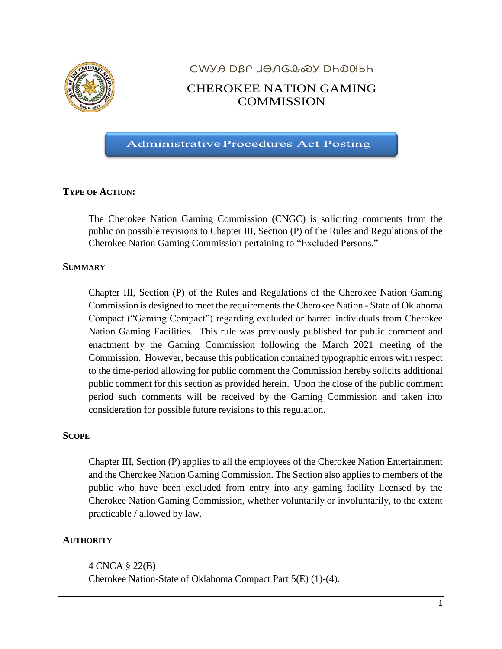

# ᏣᎳᎩᎯ ᎠᏰᎵ ᏗᎾᏁᎶᎲᏍᎩ ᎠᏂᎧᎺᏏᏂ CHEROKEE NATION GAMING **COMMISSION**

**Administrative Procedures Act Posting** 

# **TYPE OF ACTION:**

The Cherokee Nation Gaming Commission (CNGC) is soliciting comments from the public on possible revisions to Chapter III, Section (P) of the Rules and Regulations of the Cherokee Nation Gaming Commission pertaining to "Excluded Persons."

### **SUMMARY**

Chapter III, Section (P) of the Rules and Regulations of the Cherokee Nation Gaming Commission is designed to meet the requirements the Cherokee Nation - State of Oklahoma Compact ("Gaming Compact") regarding excluded or barred individuals from Cherokee Nation Gaming Facilities. This rule was previously published for public comment and enactment by the Gaming Commission following the March 2021 meeting of the Commission. However, because this publication contained typographic errors with respect to the time-period allowing for public comment the Commission hereby solicits additional public comment for this section as provided herein. Upon the close of the public comment period such comments will be received by the Gaming Commission and taken into consideration for possible future revisions to this regulation.

#### **SCOPE**

Chapter III, Section (P) applies to all the employees of the Cherokee Nation Entertainment and the Cherokee Nation Gaming Commission. The Section also applies to members of the public who have been excluded from entry into any gaming facility licensed by the Cherokee Nation Gaming Commission, whether voluntarily or involuntarily, to the extent practicable / allowed by law.

#### **AUTHORITY**

4 CNCA § 22(B) Cherokee Nation-State of Oklahoma Compact Part 5(E) (1)-(4).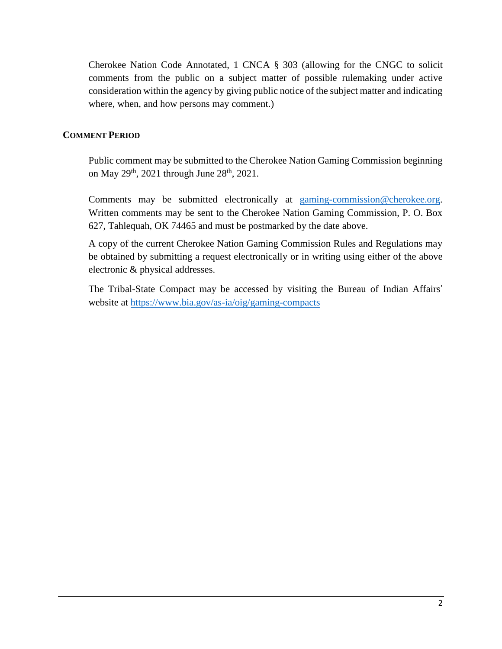Cherokee Nation Code Annotated, 1 CNCA § 303 (allowing for the CNGC to solicit comments from the public on a subject matter of possible rulemaking under active consideration within the agency by giving public notice of the subject matter and indicating where, when, and how persons may comment.)

# **COMMENT PERIOD**

Public comment may be submitted to the Cherokee Nation Gaming Commission beginning on May  $29<sup>th</sup>$ , 2021 through June  $28<sup>th</sup>$ , 2021.

Comments may be submitted electronically at [gaming-commission@cherokee.org.](mailto:gaming-commission@cherokee.org) Written comments may be sent to the Cherokee Nation Gaming Commission, P. O. Box 627, Tahlequah, OK 74465 and must be postmarked by the date above.

A copy of the current Cherokee Nation Gaming Commission Rules and Regulations may be obtained by submitting a request electronically or in writing using either of the above electronic & physical addresses.

The Tribal-State Compact may be accessed by visiting the Bureau of Indian Affairs' website at<https://www.bia.gov/as-ia/oig/gaming-compacts>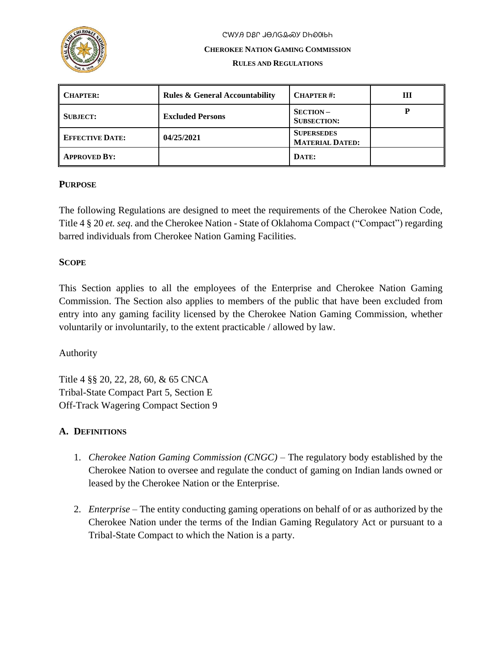

# ᏣᎳᎩᎯ ᎠᏰᎵ ᏗᎾᏁᎶᎲᏍᎩ ᎠᏂᎧᎺᏏᏂ

#### **CHEROKEE NATION GAMING COMMISSION**

#### **RULES AND REGULATIONS**

| <b>CHAPTER:</b>        | <b>Rules &amp; General Accountability</b> | <b>CHAPTER#:</b>                            | Ш |
|------------------------|-------------------------------------------|---------------------------------------------|---|
| <b>SUBJECT:</b>        | <b>Excluded Persons</b>                   | $SECTION -$<br><b>SUBSECTION:</b>           |   |
| <b>EFFECTIVE DATE:</b> | 04/25/2021                                | <b>SUPERSEDES</b><br><b>MATERIAL DATED:</b> |   |
| <b>APPROVED BY:</b>    |                                           | DATE:                                       |   |

# **PURPOSE**

The following Regulations are designed to meet the requirements of the Cherokee Nation Code, Title 4 § 20 *et. seq*. and the Cherokee Nation - State of Oklahoma Compact ("Compact") regarding barred individuals from Cherokee Nation Gaming Facilities.

# **SCOPE**

This Section applies to all the employees of the Enterprise and Cherokee Nation Gaming Commission. The Section also applies to members of the public that have been excluded from entry into any gaming facility licensed by the Cherokee Nation Gaming Commission, whether voluntarily or involuntarily, to the extent practicable / allowed by law.

# Authority

Title 4 §§ 20, 22, 28, 60, & 65 CNCA Tribal-State Compact Part 5, Section E Off-Track Wagering Compact Section 9

# **A. DEFINITIONS**

- 1. *Cherokee Nation Gaming Commission (CNGC)* The regulatory body established by the Cherokee Nation to oversee and regulate the conduct of gaming on Indian lands owned or leased by the Cherokee Nation or the Enterprise.
- 2. *Enterprise* The entity conducting gaming operations on behalf of or as authorized by the Cherokee Nation under the terms of the Indian Gaming Regulatory Act or pursuant to a Tribal-State Compact to which the Nation is a party.